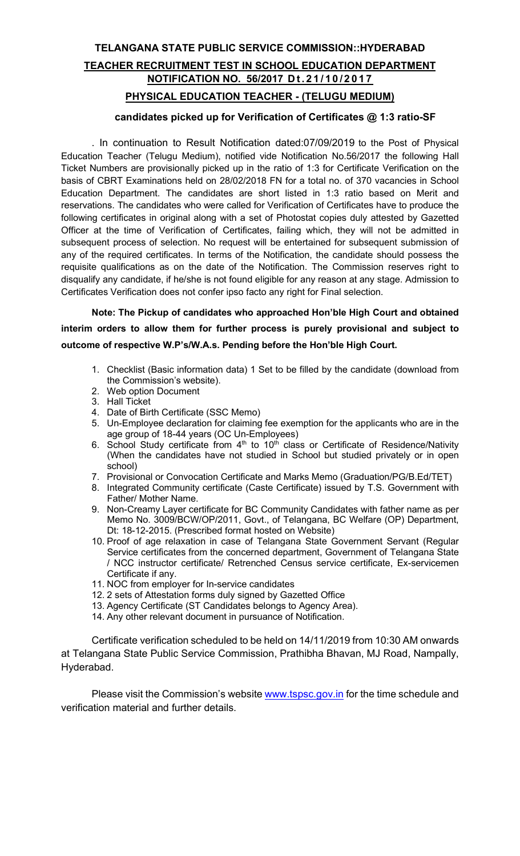## TELANGANA STATE PUBLIC SERVICE COMMISSION::HYDERABAD TEACHER RECRUITMENT TEST IN SCHOOL EDUCATION DEPARTMENT NOTIFICATION NO. 56/2017 Dt.21/10/2017 PHYSICAL EDUCATION TEACHER - (TELUGU MEDIUM)

# candidates picked up for Verification of Certificates @ 1:3 ratio-SF

. In continuation to Result Notification dated:07/09/2019 to the Post of Physical Education Teacher (Telugu Medium), notified vide Notification No.56/2017 the following Hall Ticket Numbers are provisionally picked up in the ratio of 1:3 for Certificate Verification on the basis of CBRT Examinations held on 28/02/2018 FN for a total no. of 370 vacancies in School Education Department. The candidates are short listed in 1:3 ratio based on Merit and reservations. The candidates who were called for Verification of Certificates have to produce the following certificates in original along with a set of Photostat copies duly attested by Gazetted Officer at the time of Verification of Certificates, failing which, they will not be admitted in subsequent process of selection. No request will be entertained for subsequent submission of any of the required certificates. In terms of the Notification, the candidate should possess the requisite qualifications as on the date of the Notification. The Commission reserves right to disqualify any candidate, if he/she is not found eligible for any reason at any stage. Admission to Certificates Verification does not confer ipso facto any right for Final selection.

Note: The Pickup of candidates who approached Hon'ble High Court and obtained interim orders to allow them for further process is purely provisional and subject to outcome of respective W.P's/W.A.s. Pending before the Hon'ble High Court.

- 1. Checklist (Basic information data) 1 Set to be filled by the candidate (download from the Commission's website).
- 2. Web option Document
- 3. Hall Ticket
- 4. Date of Birth Certificate (SSC Memo)
- 5. Un-Employee declaration for claiming fee exemption for the applicants who are in the age group of 18-44 years (OC Un-Employees)
- 6. School Study certificate from  $4<sup>th</sup>$  to 10<sup>th</sup> class or Certificate of Residence/Nativity (When the candidates have not studied in School but studied privately or in open school)
- 7. Provisional or Convocation Certificate and Marks Memo (Graduation/PG/B.Ed/TET)
- 8. Integrated Community certificate (Caste Certificate) issued by T.S. Government with Father/ Mother Name.
- 9. Non-Creamy Layer certificate for BC Community Candidates with father name as per Memo No. 3009/BCW/OP/2011, Govt., of Telangana, BC Welfare (OP) Department, Dt: 18-12-2015. (Prescribed format hosted on Website)
- 10. Proof of age relaxation in case of Telangana State Government Servant (Regular Service certificates from the concerned department, Government of Telangana State / NCC instructor certificate/ Retrenched Census service certificate, Ex-servicemen Certificate if any.
- 11. NOC from employer for In-service candidates
- 12. 2 sets of Attestation forms duly signed by Gazetted Office
- 13. Agency Certificate (ST Candidates belongs to Agency Area).
- 14. Any other relevant document in pursuance of Notification.

Certificate verification scheduled to be held on 14/11/2019 from 10:30 AM onwards at Telangana State Public Service Commission, Prathibha Bhavan, MJ Road, Nampally, Hyderabad.

Please visit the Commission's website www.tspsc.gov.in for the time schedule and verification material and further details.